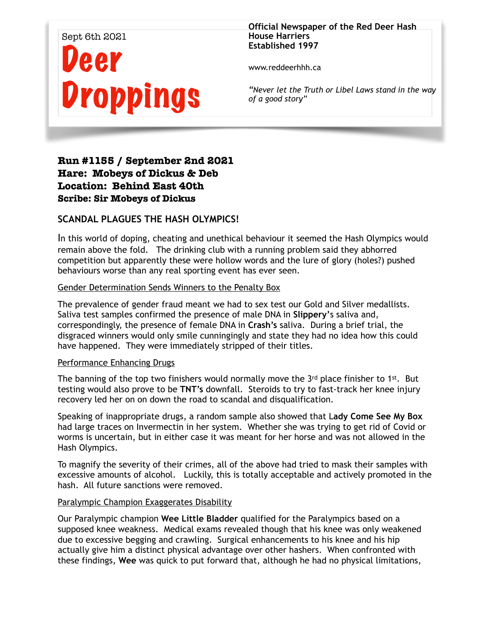# Sept 6th 2021 eer **Droppings**

#### **Official Newspaper of the Red Deer Hash House Harriers Established 1997**

www.reddeerhhh.ca

*"Never let the Truth or Libel Laws stand in the way of a good story"*

## **Run #1155 / September 2nd 2021 Hare: Mobeys of Dickus & Deb Location: Behind East 40th Scribe: Sir Mobeys of Dickus**

## **SCANDAL PLAGUES THE HASH OLYMPICS!**

In this world of doping, cheating and unethical behaviour it seemed the Hash Olympics would remain above the fold. The drinking club with a running problem said they abhorred competition but apparently these were hollow words and the lure of glory (holes?) pushed behaviours worse than any real sporting event has ever seen.

### Gender Determination Sends Winners to the Penalty Box

The prevalence of gender fraud meant we had to sex test our Gold and Silver medallists. Saliva test samples confirmed the presence of male DNA in **Slippery'**s saliva and, correspondingly, the presence of female DNA in **Crash's** saliva. During a brief trial, the disgraced winners would only smile cunningingly and state they had no idea how this could have happened. They were immediately stripped of their titles.

### Performance Enhancing Drugs

The banning of the top two finishers would normally move the 3rd place finisher to 1st. But testing would also prove to be **TNT's** downfall. Steroids to try to fast-track her knee injury recovery led her on on down the road to scandal and disqualification.

Speaking of inappropriate drugs, a random sample also showed that L**ady Come See My Box**  had large traces on Invermectin in her system. Whether she was trying to get rid of Covid or worms is uncertain, but in either case it was meant for her horse and was not allowed in the Hash Olympics.

To magnify the severity of their crimes, all of the above had tried to mask their samples with excessive amounts of alcohol. Luckily, this is totally acceptable and actively promoted in the hash. All future sanctions were removed.

### Paralympic Champion Exaggerates Disability

Our Paralympic champion **Wee Little Bladder** qualified for the Paralympics based on a supposed knee weakness. Medical exams revealed though that his knee was only weakened due to excessive begging and crawling. Surgical enhancements to his knee and his hip actually give him a distinct physical advantage over other hashers. When confronted with these findings, **Wee** was quick to put forward that, although he had no physical limitations,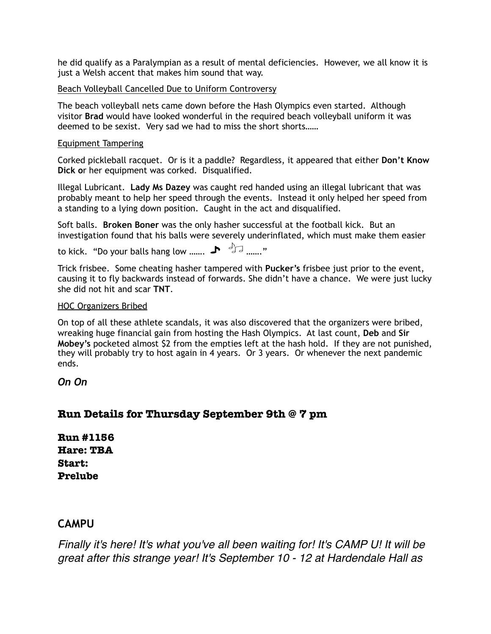he did qualify as a Paralympian as a result of mental deficiencies. However, we all know it is just a Welsh accent that makes him sound that way.

#### Beach Volleyball Cancelled Due to Uniform Controversy

The beach volleyball nets came down before the Hash Olympics even started. Although visitor **Brad** would have looked wonderful in the required beach volleyball uniform it was deemed to be sexist. Very sad we had to miss the short shorts……

#### Equipment Tampering

Corked pickleball racquet. Or is it a paddle? Regardless, it appeared that either **Don't Know Dick o**r her equipment was corked. Disqualified.

Illegal Lubricant. **Lady Ms Dazey** was caught red handed using an illegal lubricant that was probably meant to help her speed through the events. Instead it only helped her speed from a standing to a lying down position. Caught in the act and disqualified.

Soft balls. **Broken Boner** was the only hasher successful at the football kick. But an investigation found that his balls were severely underinflated, which must make them easier

to kick. "Do your balls hang low .......  $\bigtriangledown$   $\bigtriangledown$   $\bigtriangleup$   $\bigtriangledown$  ......."

Trick frisbee. Some cheating hasher tampered with **Pucker's** frisbee just prior to the event, causing it to fly backwards instead of forwards. She didn't have a chance. We were just lucky she did not hit and scar **TNT**.

#### HOC Organizers Bribed

On top of all these athlete scandals, it was also discovered that the organizers were bribed, wreaking huge financial gain from hosting the Hash Olympics. At last count, **Deb** and **Sir Mobey's** pocketed almost \$2 from the empties left at the hash hold. If they are not punished, they will probably try to host again in 4 years. Or 3 years. Or whenever the next pandemic ends.

*On On* 

## **Run Details for Thursday September 9th @ 7 pm**

**Run #1156 Hare: TBA Start: Prelube** 

## **CAMPU**

*Finally it's here! It's what you've all been waiting for! It's CAMP U! It will be great after this strange year! It's September 10 - 12 at Hardendale Hall as*